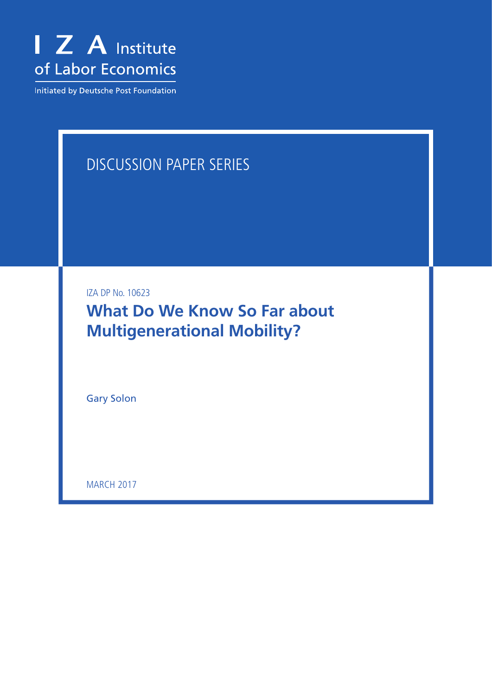

Initiated by Deutsche Post Foundation

# Discussion Paper Series

IZA DP No. 10623

**What Do We Know So Far about Multigenerational Mobility?**

Gary Solon

**MARCH 2017**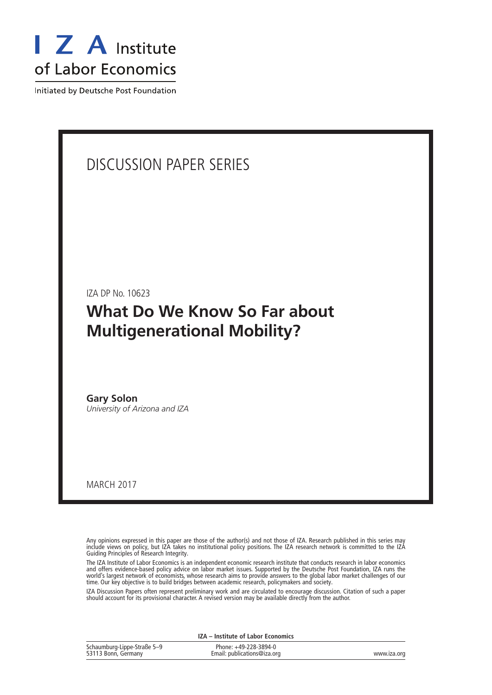

Initiated by Deutsche Post Foundation

### Discussion Paper Series

IZA DP No. 10623

### **What Do We Know So Far about Multigenerational Mobility?**

**Gary Solon** *University of Arizona and IZA*

march 2017

Any opinions expressed in this paper are those of the author(s) and not those of IZA. Research published in this series may include views on policy, but IZA takes no institutional policy positions. The IZA research network is committed to the IZA Guiding Principles of Research Integrity.

The IZA Institute of Labor Economics is an independent economic research institute that conducts research in labor economics and offers evidence-based policy advice on labor market issues. Supported by the Deutsche Post Foundation, IZA runs the world's largest network of economists, whose research aims to provide answers to the global labor market challenges of our time. Our key objective is to build bridges between academic research, policymakers and society.

IZA Discussion Papers often represent preliminary work and are circulated to encourage discussion. Citation of such a paper should account for its provisional character. A revised version may be available directly from the author.

**IZA – Institute of Labor Economics**

| Schaumburg-Lippe-Straße 5-9<br>53113 Bonn, Germany | Phone: +49-228-3894-0<br>Email: publications@iza.org | www.iza.org |
|----------------------------------------------------|------------------------------------------------------|-------------|
|                                                    |                                                      |             |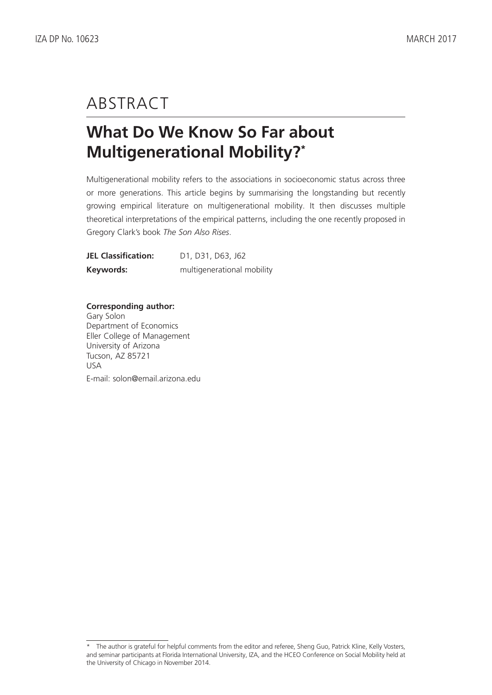# **ABSTRACT**

# **What Do We Know So Far about Multigenerational Mobility?\***

Multigenerational mobility refers to the associations in socioeconomic status across three or more generations. This article begins by summarising the longstanding but recently growing empirical literature on multigenerational mobility. It then discusses multiple theoretical interpretations of the empirical patterns, including the one recently proposed in Gregory Clark's book *The Son Also Rises*.

| <b>JEL Classification:</b> | D <sub>1</sub> , D <sub>31</sub> , D <sub>63</sub> , J <sub>62</sub> |
|----------------------------|----------------------------------------------------------------------|
| Keywords:                  | multigenerational mobility                                           |

### **Corresponding author:**

Gary Solon Department of Economics Eller College of Management University of Arizona Tucson, AZ 85721 USA E-mail: solon@email.arizona.edu

<sup>\*</sup> The author is grateful for helpful comments from the editor and referee, Sheng Guo, Patrick Kline, Kelly Vosters, and seminar participants at Florida International University, IZA, and the HCEO Conference on Social Mobility held at the University of Chicago in November 2014.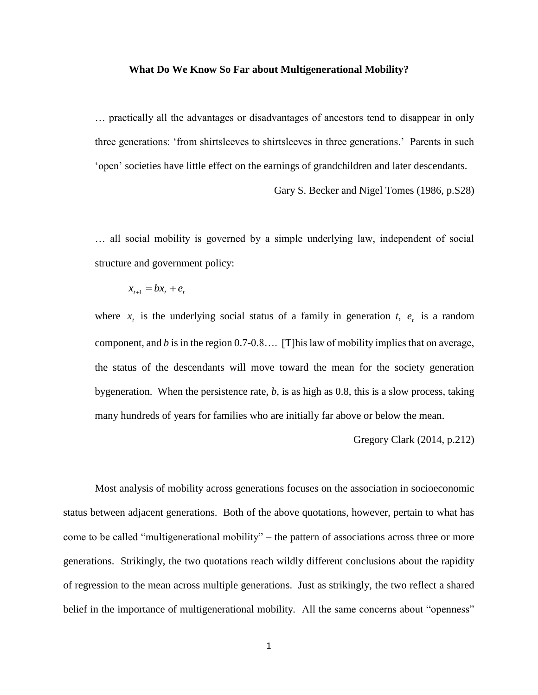#### **What Do We Know So Far about Multigenerational Mobility?**

… practically all the advantages or disadvantages of ancestors tend to disappear in only three generations: 'from shirtsleeves to shirtsleeves in three generations.' Parents in such 'open' societies have little effect on the earnings of grandchildren and later descendants.

Gary S. Becker and Nigel Tomes (1986, p.S28)

… all social mobility is governed by a simple underlying law, independent of social structure and government policy:

$$
x_{t+1} = bx_t + e_t
$$

where  $x_t$  is the underlying social status of a family in generation *t*,  $e_t$  is a random component, and *b* is in the region 0.7-0.8…. [T]his law of mobility implies that on average, the status of the descendants will move toward the mean for the society generation bygeneration. When the persistence rate, *b*, is as high as 0.8, this is a slow process, taking many hundreds of years for families who are initially far above or below the mean.

Gregory Clark (2014, p.212)

Most analysis of mobility across generations focuses on the association in socioeconomic status between adjacent generations. Both of the above quotations, however, pertain to what has come to be called "multigenerational mobility" – the pattern of associations across three or more generations. Strikingly, the two quotations reach wildly different conclusions about the rapidity of regression to the mean across multiple generations. Just as strikingly, the two reflect a shared belief in the importance of multigenerational mobility. All the same concerns about "openness"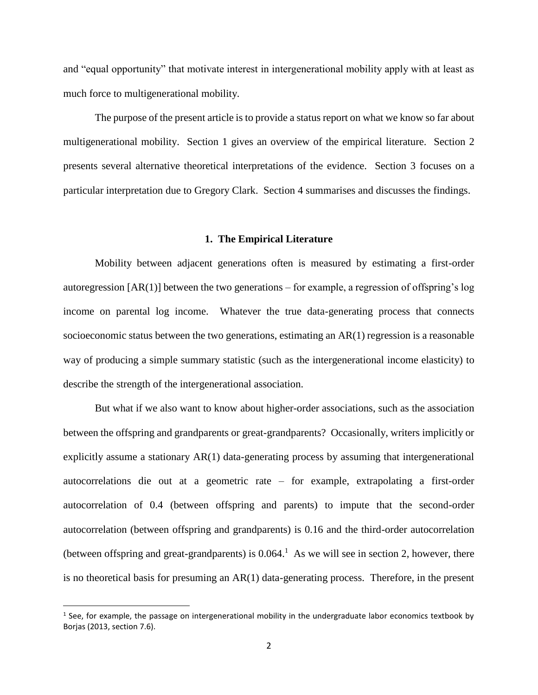and "equal opportunity" that motivate interest in intergenerational mobility apply with at least as much force to multigenerational mobility.

The purpose of the present article is to provide a status report on what we know so far about multigenerational mobility. Section 1 gives an overview of the empirical literature. Section 2 presents several alternative theoretical interpretations of the evidence. Section 3 focuses on a particular interpretation due to Gregory Clark. Section 4 summarises and discusses the findings.

#### **1. The Empirical Literature**

Mobility between adjacent generations often is measured by estimating a first-order autoregression  $[AR(1)]$  between the two generations – for example, a regression of offspring's log income on parental log income. Whatever the true data-generating process that connects socioeconomic status between the two generations, estimating an  $AR(1)$  regression is a reasonable way of producing a simple summary statistic (such as the intergenerational income elasticity) to describe the strength of the intergenerational association.

But what if we also want to know about higher-order associations, such as the association between the offspring and grandparents or great-grandparents? Occasionally, writers implicitly or explicitly assume a stationary AR(1) data-generating process by assuming that intergenerational autocorrelations die out at a geometric rate – for example, extrapolating a first-order autocorrelation of 0.4 (between offspring and parents) to impute that the second-order autocorrelation (between offspring and grandparents) is 0.16 and the third-order autocorrelation (between offspring and great-grandparents) is  $0.064$ .<sup>1</sup> As we will see in section 2, however, there is no theoretical basis for presuming an  $AR(1)$  data-generating process. Therefore, in the present

l

<sup>&</sup>lt;sup>1</sup> See, for example, the passage on intergenerational mobility in the undergraduate labor economics textbook by Borjas (2013, section 7.6).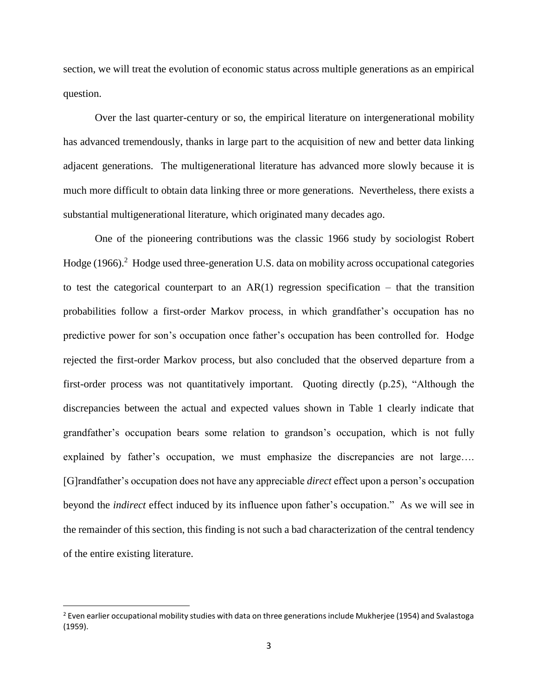section, we will treat the evolution of economic status across multiple generations as an empirical question.

Over the last quarter-century or so, the empirical literature on intergenerational mobility has advanced tremendously, thanks in large part to the acquisition of new and better data linking adjacent generations. The multigenerational literature has advanced more slowly because it is much more difficult to obtain data linking three or more generations. Nevertheless, there exists a substantial multigenerational literature, which originated many decades ago.

One of the pioneering contributions was the classic 1966 study by sociologist Robert Hodge  $(1966).<sup>2</sup>$  Hodge used three-generation U.S. data on mobility across occupational categories to test the categorical counterpart to an  $AR(1)$  regression specification – that the transition probabilities follow a first-order Markov process, in which grandfather's occupation has no predictive power for son's occupation once father's occupation has been controlled for. Hodge rejected the first-order Markov process, but also concluded that the observed departure from a first-order process was not quantitatively important. Quoting directly (p.25), "Although the discrepancies between the actual and expected values shown in Table 1 clearly indicate that grandfather's occupation bears some relation to grandson's occupation, which is not fully explained by father's occupation, we must emphasize the discrepancies are not large…. [G]randfather's occupation does not have any appreciable *direct* effect upon a person's occupation beyond the *indirect* effect induced by its influence upon father's occupation." As we will see in the remainder of this section, this finding is not such a bad characterization of the central tendency of the entire existing literature.

l

 $2$  Even earlier occupational mobility studies with data on three generations include Mukherjee (1954) and Svalastoga (1959).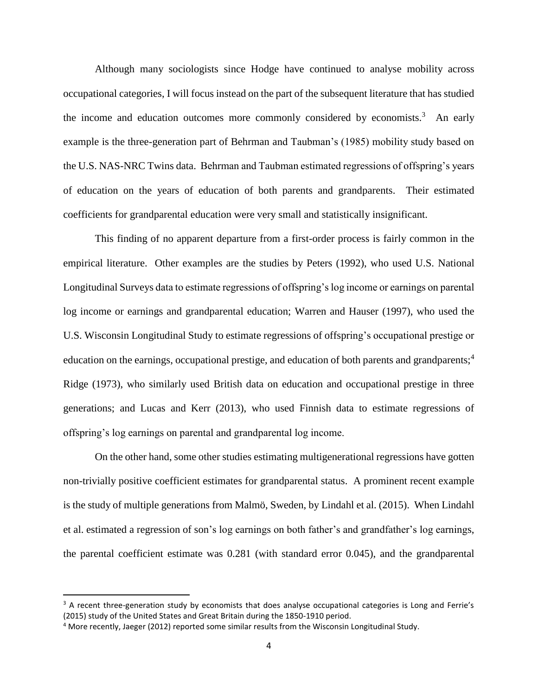Although many sociologists since Hodge have continued to analyse mobility across occupational categories, I will focus instead on the part of the subsequent literature that has studied the income and education outcomes more commonly considered by economists.<sup>3</sup> An early example is the three-generation part of Behrman and Taubman's (1985) mobility study based on the U.S. NAS-NRC Twins data. Behrman and Taubman estimated regressions of offspring's years of education on the years of education of both parents and grandparents. Their estimated coefficients for grandparental education were very small and statistically insignificant.

This finding of no apparent departure from a first-order process is fairly common in the empirical literature. Other examples are the studies by Peters (1992), who used U.S. National Longitudinal Surveys data to estimate regressions of offspring's log income or earnings on parental log income or earnings and grandparental education; Warren and Hauser (1997), who used the U.S. Wisconsin Longitudinal Study to estimate regressions of offspring's occupational prestige or education on the earnings, occupational prestige, and education of both parents and grandparents;<sup>4</sup> Ridge (1973), who similarly used British data on education and occupational prestige in three generations; and Lucas and Kerr (2013), who used Finnish data to estimate regressions of offspring's log earnings on parental and grandparental log income.

On the other hand, some other studies estimating multigenerational regressions have gotten non-trivially positive coefficient estimates for grandparental status. A prominent recent example is the study of multiple generations from Malmö, Sweden, by Lindahl et al. (2015). When Lindahl et al. estimated a regression of son's log earnings on both father's and grandfather's log earnings, the parental coefficient estimate was 0.281 (with standard error 0.045), and the grandparental

 $\overline{\phantom{a}}$ 

 $3$  A recent three-generation study by economists that does analyse occupational categories is Long and Ferrie's (2015) study of the United States and Great Britain during the 1850-1910 period.

<sup>4</sup> More recently, Jaeger (2012) reported some similar results from the Wisconsin Longitudinal Study.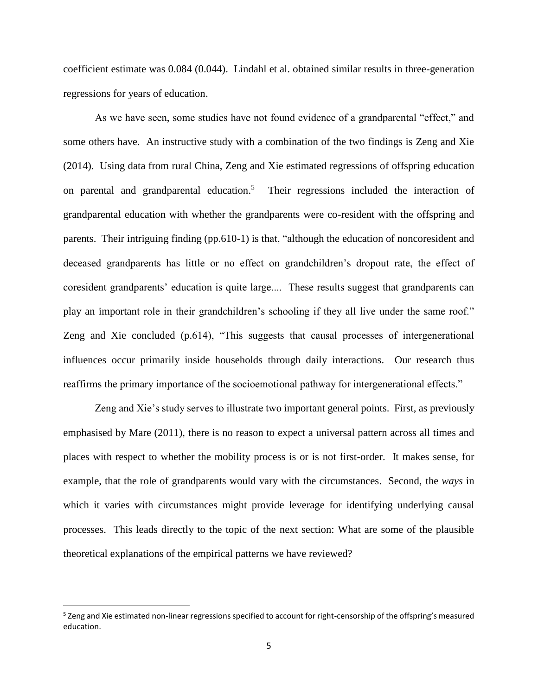coefficient estimate was 0.084 (0.044). Lindahl et al. obtained similar results in three-generation regressions for years of education.

As we have seen, some studies have not found evidence of a grandparental "effect," and some others have. An instructive study with a combination of the two findings is Zeng and Xie (2014). Using data from rural China, Zeng and Xie estimated regressions of offspring education on parental and grandparental education.<sup>5</sup> Their regressions included the interaction of grandparental education with whether the grandparents were co-resident with the offspring and parents. Their intriguing finding (pp.610-1) is that, "although the education of noncoresident and deceased grandparents has little or no effect on grandchildren's dropout rate, the effect of coresident grandparents' education is quite large.... These results suggest that grandparents can play an important role in their grandchildren's schooling if they all live under the same roof." Zeng and Xie concluded (p.614), "This suggests that causal processes of intergenerational influences occur primarily inside households through daily interactions. Our research thus reaffirms the primary importance of the socioemotional pathway for intergenerational effects."

Zeng and Xie's study serves to illustrate two important general points. First, as previously emphasised by Mare (2011), there is no reason to expect a universal pattern across all times and places with respect to whether the mobility process is or is not first-order. It makes sense, for example, that the role of grandparents would vary with the circumstances. Second, the *ways* in which it varies with circumstances might provide leverage for identifying underlying causal processes. This leads directly to the topic of the next section: What are some of the plausible theoretical explanations of the empirical patterns we have reviewed?

l

<sup>&</sup>lt;sup>5</sup> Zeng and Xie estimated non-linear regressions specified to account for right-censorship of the offspring's measured education.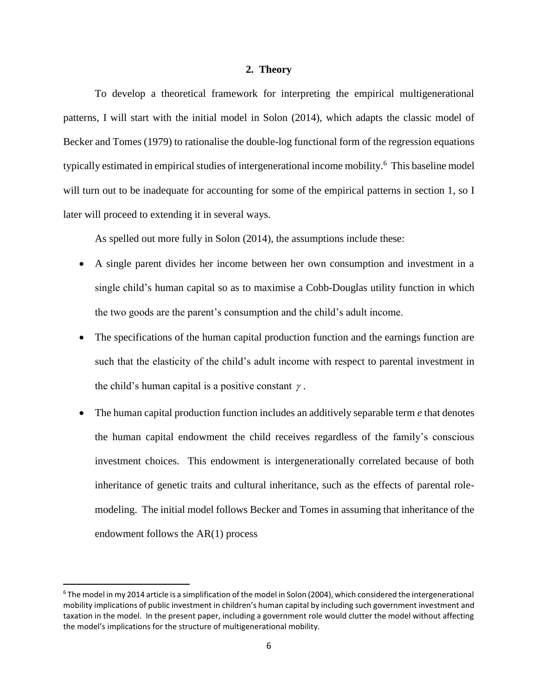#### **2. Theory**

To develop a theoretical framework for interpreting the empirical multigenerational patterns, I will start with the initial model in Solon (2014), which adapts the classic model of Becker and Tomes (1979) to rationalise the double-log functional form of the regression equations typically estimated in empirical studies of intergenerational income mobility.<sup>6</sup> This baseline model will turn out to be inadequate for accounting for some of the empirical patterns in section 1, so I later will proceed to extending it in several ways.

As spelled out more fully in Solon (2014), the assumptions include these:

- A single parent divides her income between her own consumption and investment in a single child's human capital so as to maximise a Cobb-Douglas utility function in which the two goods are the parent's consumption and the child's adult income.
- The specifications of the human capital production function and the earnings function are such that the elasticity of the child's adult income with respect to parental investment in the child's human capital is a positive constant  $\gamma$ .
- The human capital production function includes an additively separable term *e* that denotes the human capital endowment the child receives regardless of the family's conscious investment choices. This endowment is intergenerationally correlated because of both inheritance of genetic traits and cultural inheritance, such as the effects of parental rolemodeling. The initial model follows Becker and Tomes in assuming that inheritance of the endowment follows the AR(1) process

 $\overline{a}$ 

 $6$  The model in my 2014 article is a simplification of the model in Solon (2004), which considered the intergenerational mobility implications of public investment in children's human capital by including such government investment and taxation in the model. In the present paper, including a government role would clutter the model without affecting the model's implications for the structure of multigenerational mobility.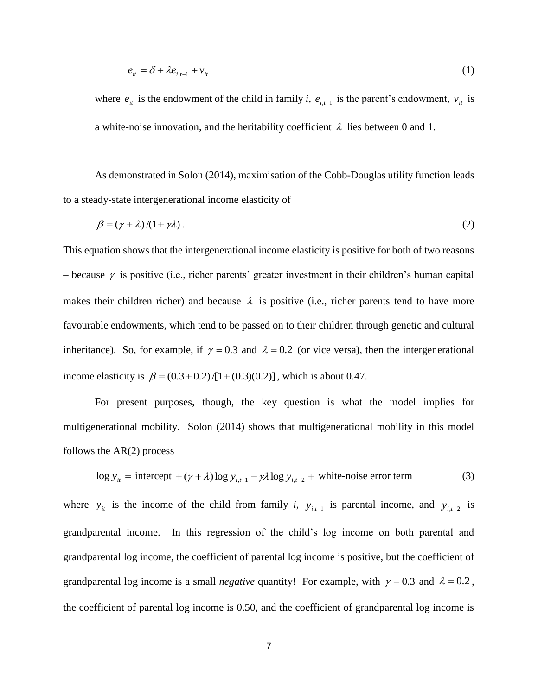$$
e_{it} = \delta + \lambda e_{i,t-1} + v_{it} \tag{1}
$$

where  $e_{it}$  is the endowment of the child in family *i*,  $e_{i,t-1}$  is the parent's endowment,  $v_{it}$  is a white-noise innovation, and the heritability coefficient  $\lambda$  lies between 0 and 1.

As demonstrated in Solon (2014), maximisation of the Cobb-Douglas utility function leads to a steady-state intergenerational income elasticity of

$$
\beta = (\gamma + \lambda)/(1 + \gamma \lambda). \tag{2}
$$

This equation shows that the intergenerational income elasticity is positive for both of two reasons – because  $\gamma$  is positive (i.e., richer parents' greater investment in their children's human capital makes their children richer) and because  $\lambda$  is positive (i.e., richer parents tend to have more favourable endowments, which tend to be passed on to their children through genetic and cultural inheritance). So, for example, if  $\gamma = 0.3$  and  $\lambda = 0.2$  (or vice versa), then the intergenerational income elasticity is  $\beta = (0.3 + 0.2) / [1 + (0.3)(0.2)]$ , which is about 0.47.

For present purposes, though, the key question is what the model implies for multigenerational mobility. Solon (2014) shows that multigenerational mobility in this model follows the AR(2) process

$$
\log y_{it} = \text{intercept} + (\gamma + \lambda) \log y_{i,t-1} - \gamma \lambda \log y_{i,t-2} + \text{white-noise error term}
$$
\n(3)

where  $y_i$  is the income of the child from family *i*,  $y_{i,t-1}$  is parental income, and  $y_{i,t-2}$  is grandparental income. In this regression of the child's log income on both parental and grandparental log income, the coefficient of parental log income is positive, but the coefficient of grandparental log income is a small *negative* quantity! For example, with  $\gamma = 0.3$  and  $\lambda = 0.2$ , the coefficient of parental log income is 0.50, and the coefficient of grandparental log income is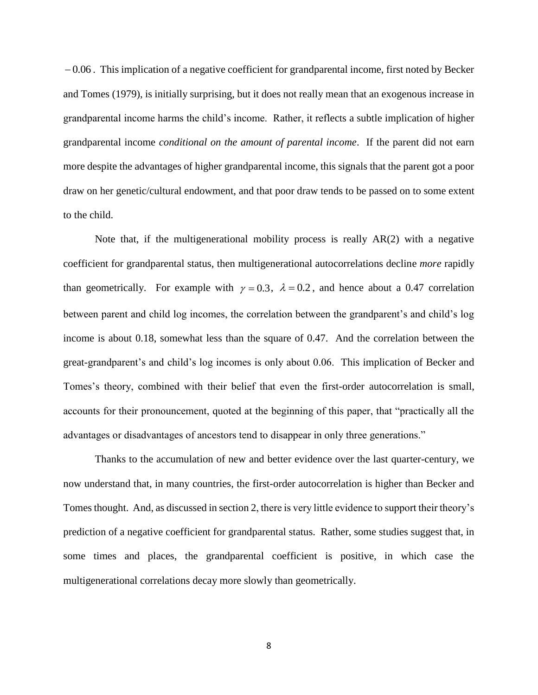0.06 . This implication of a negative coefficient for grandparental income, first noted by Becker and Tomes (1979), is initially surprising, but it does not really mean that an exogenous increase in grandparental income harms the child's income. Rather, it reflects a subtle implication of higher grandparental income *conditional on the amount of parental income*. If the parent did not earn more despite the advantages of higher grandparental income, this signals that the parent got a poor draw on her genetic/cultural endowment, and that poor draw tends to be passed on to some extent to the child.

Note that, if the multigenerational mobility process is really AR(2) with a negative coefficient for grandparental status, then multigenerational autocorrelations decline *more* rapidly than geometrically. For example with  $\gamma = 0.3$ ,  $\lambda = 0.2$ , and hence about a 0.47 correlation between parent and child log incomes, the correlation between the grandparent's and child's log income is about 0.18, somewhat less than the square of 0.47. And the correlation between the great-grandparent's and child's log incomes is only about 0.06. This implication of Becker and Tomes's theory, combined with their belief that even the first-order autocorrelation is small, accounts for their pronouncement, quoted at the beginning of this paper, that "practically all the advantages or disadvantages of ancestors tend to disappear in only three generations."

Thanks to the accumulation of new and better evidence over the last quarter-century, we now understand that, in many countries, the first-order autocorrelation is higher than Becker and Tomes thought. And, as discussed in section 2, there is very little evidence to support their theory's prediction of a negative coefficient for grandparental status. Rather, some studies suggest that, in some times and places, the grandparental coefficient is positive, in which case the multigenerational correlations decay more slowly than geometrically.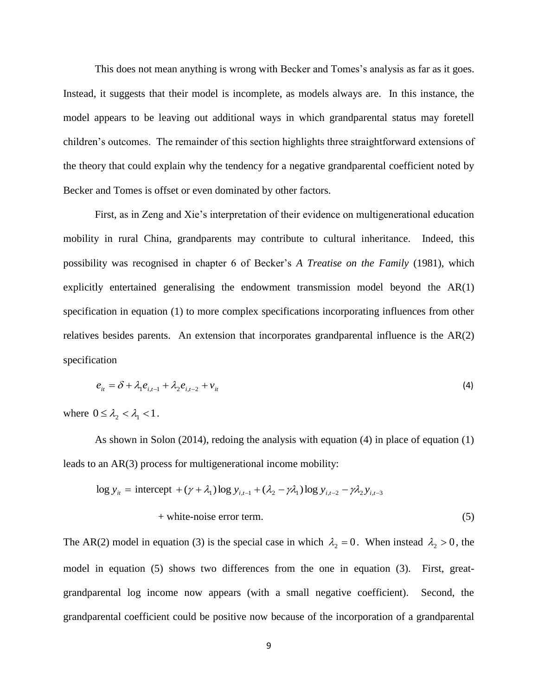This does not mean anything is wrong with Becker and Tomes's analysis as far as it goes. Instead, it suggests that their model is incomplete, as models always are. In this instance, the model appears to be leaving out additional ways in which grandparental status may foretell children's outcomes. The remainder of this section highlights three straightforward extensions of the theory that could explain why the tendency for a negative grandparental coefficient noted by Becker and Tomes is offset or even dominated by other factors.

First, as in Zeng and Xie's interpretation of their evidence on multigenerational education mobility in rural China, grandparents may contribute to cultural inheritance. Indeed, this possibility was recognised in chapter 6 of Becker's *A Treatise on the Family* (1981), which explicitly entertained generalising the endowment transmission model beyond the AR(1) specification in equation (1) to more complex specifications incorporating influences from other relatives besides parents. An extension that incorporates grandparental influence is the AR(2) specification

$$
e_{it} = \delta + \lambda_1 e_{i,t-1} + \lambda_2 e_{i,t-2} + v_{it}
$$
 (4)

where  $0 \leq \lambda_2 < \lambda_1 < 1$ .

As shown in Solon (2014), redoing the analysis with equation (4) in place of equation (1) leads to an AR(3) process for multigenerational income mobility:

$$
\log y_{it} = \text{intercept } + (\gamma + \lambda_1) \log y_{i,t-1} + (\lambda_2 - \gamma \lambda_1) \log y_{i,t-2} - \gamma \lambda_2 y_{i,t-3}
$$
  
+ white-noise error term. (5)

The AR(2) model in equation (3) is the special case in which  $\lambda_2 = 0$ . When instead  $\lambda_2 > 0$ , the model in equation (5) shows two differences from the one in equation (3). First, greatgrandparental log income now appears (with a small negative coefficient). Second, the grandparental coefficient could be positive now because of the incorporation of a grandparental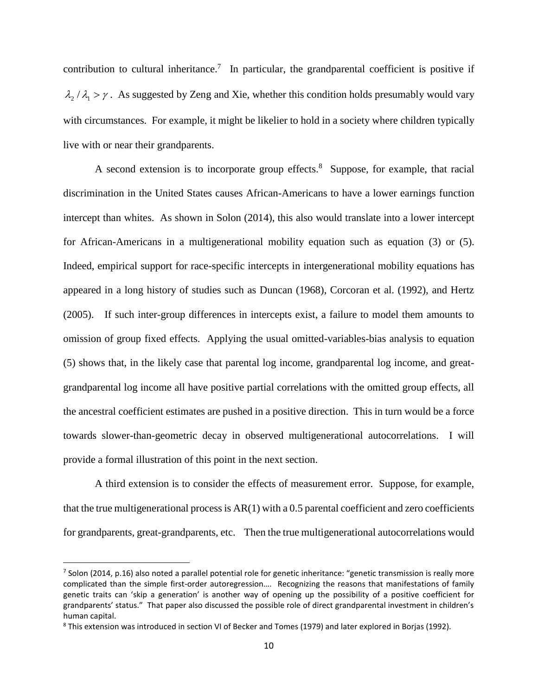contribution to cultural inheritance.<sup>7</sup> In particular, the grandparental coefficient is positive if  $\lambda_2/\lambda_1 > \gamma$ . As suggested by Zeng and Xie, whether this condition holds presumably would vary with circumstances. For example, it might be likelier to hold in a society where children typically live with or near their grandparents.

A second extension is to incorporate group effects.<sup>8</sup> Suppose, for example, that racial discrimination in the United States causes African-Americans to have a lower earnings function intercept than whites. As shown in Solon (2014), this also would translate into a lower intercept for African-Americans in a multigenerational mobility equation such as equation (3) or (5). Indeed, empirical support for race-specific intercepts in intergenerational mobility equations has appeared in a long history of studies such as Duncan (1968), Corcoran et al. (1992), and Hertz (2005). If such inter-group differences in intercepts exist, a failure to model them amounts to omission of group fixed effects. Applying the usual omitted-variables-bias analysis to equation (5) shows that, in the likely case that parental log income, grandparental log income, and greatgrandparental log income all have positive partial correlations with the omitted group effects, all the ancestral coefficient estimates are pushed in a positive direction. This in turn would be a force towards slower-than-geometric decay in observed multigenerational autocorrelations. I will provide a formal illustration of this point in the next section.

A third extension is to consider the effects of measurement error. Suppose, for example, that the true multigenerational process is AR(1) with a 0.5 parental coefficient and zero coefficients for grandparents, great-grandparents, etc. Then the true multigenerational autocorrelations would

 $\overline{a}$ 

<sup>7</sup> Solon (2014, p.16) also noted a parallel potential role for genetic inheritance: "genetic transmission is really more complicated than the simple first-order autoregression…. Recognizing the reasons that manifestations of family genetic traits can 'skip a generation' is another way of opening up the possibility of a positive coefficient for grandparents' status." That paper also discussed the possible role of direct grandparental investment in children's human capital.

<sup>8</sup> This extension was introduced in section VI of Becker and Tomes (1979) and later explored in Borjas (1992).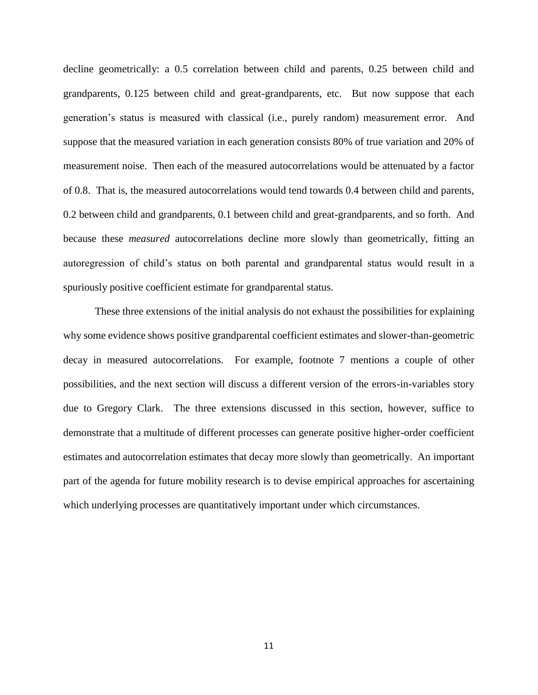decline geometrically: a 0.5 correlation between child and parents, 0.25 between child and grandparents, 0.125 between child and great-grandparents, etc. But now suppose that each generation's status is measured with classical (i.e., purely random) measurement error. And suppose that the measured variation in each generation consists 80% of true variation and 20% of measurement noise. Then each of the measured autocorrelations would be attenuated by a factor of 0.8. That is, the measured autocorrelations would tend towards 0.4 between child and parents, 0.2 between child and grandparents, 0.1 between child and great-grandparents, and so forth. And because these *measured* autocorrelations decline more slowly than geometrically, fitting an autoregression of child's status on both parental and grandparental status would result in a spuriously positive coefficient estimate for grandparental status.

These three extensions of the initial analysis do not exhaust the possibilities for explaining why some evidence shows positive grandparental coefficient estimates and slower-than-geometric decay in measured autocorrelations. For example, footnote 7 mentions a couple of other possibilities, and the next section will discuss a different version of the errors-in-variables story due to Gregory Clark. The three extensions discussed in this section, however, suffice to demonstrate that a multitude of different processes can generate positive higher-order coefficient estimates and autocorrelation estimates that decay more slowly than geometrically. An important part of the agenda for future mobility research is to devise empirical approaches for ascertaining which underlying processes are quantitatively important under which circumstances.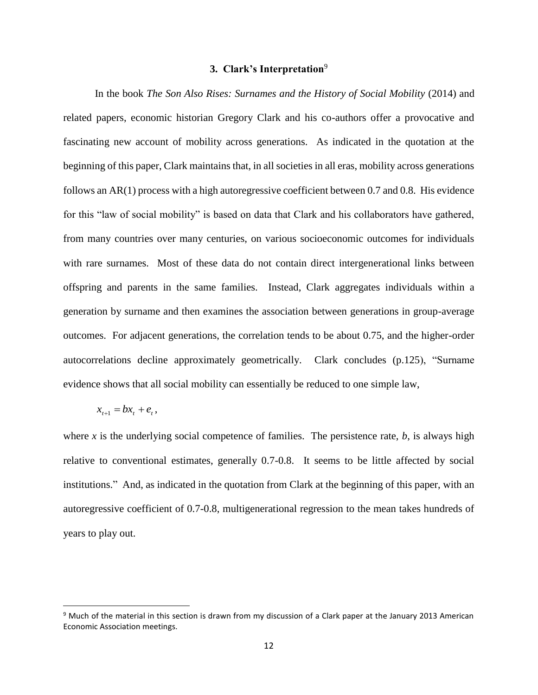#### **3. Clark's Interpretation**<sup>9</sup>

In the book *The Son Also Rises: Surnames and the History of Social Mobility* (2014) and related papers, economic historian Gregory Clark and his co-authors offer a provocative and fascinating new account of mobility across generations. As indicated in the quotation at the beginning of this paper, Clark maintains that, in all societies in all eras, mobility across generations follows an AR(1) process with a high autoregressive coefficient between 0.7 and 0.8. His evidence for this "law of social mobility" is based on data that Clark and his collaborators have gathered, from many countries over many centuries, on various socioeconomic outcomes for individuals with rare surnames. Most of these data do not contain direct intergenerational links between offspring and parents in the same families. Instead, Clark aggregates individuals within a generation by surname and then examines the association between generations in group-average outcomes. For adjacent generations, the correlation tends to be about 0.75, and the higher-order autocorrelations decline approximately geometrically. Clark concludes (p.125), "Surname evidence shows that all social mobility can essentially be reduced to one simple law,

$$
x_{t+1} = bx_t + e_t,
$$

l

where *x* is the underlying social competence of families. The persistence rate,  $b$ , is always high relative to conventional estimates, generally 0.7-0.8. It seems to be little affected by social institutions." And, as indicated in the quotation from Clark at the beginning of this paper, with an autoregressive coefficient of 0.7-0.8, multigenerational regression to the mean takes hundreds of years to play out.

<sup>9</sup> Much of the material in this section is drawn from my discussion of a Clark paper at the January 2013 American Economic Association meetings.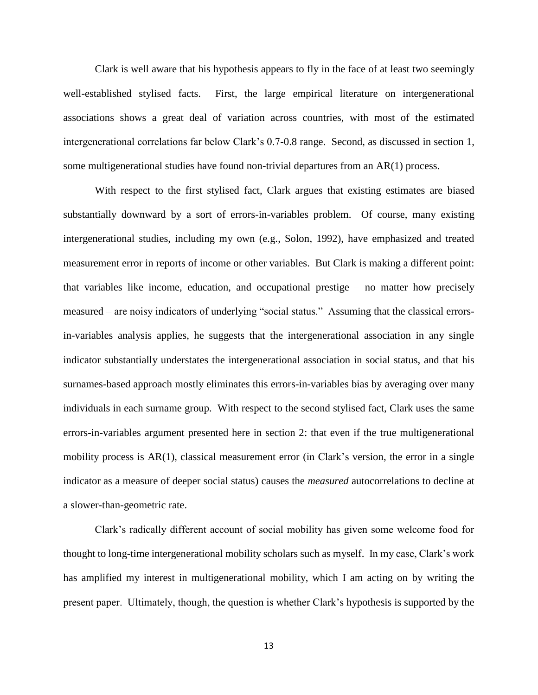Clark is well aware that his hypothesis appears to fly in the face of at least two seemingly well-established stylised facts. First, the large empirical literature on intergenerational associations shows a great deal of variation across countries, with most of the estimated intergenerational correlations far below Clark's 0.7-0.8 range. Second, as discussed in section 1, some multigenerational studies have found non-trivial departures from an AR(1) process.

With respect to the first stylised fact, Clark argues that existing estimates are biased substantially downward by a sort of errors-in-variables problem. Of course, many existing intergenerational studies, including my own (e.g., Solon, 1992), have emphasized and treated measurement error in reports of income or other variables. But Clark is making a different point: that variables like income, education, and occupational prestige – no matter how precisely measured – are noisy indicators of underlying "social status." Assuming that the classical errorsin-variables analysis applies, he suggests that the intergenerational association in any single indicator substantially understates the intergenerational association in social status, and that his surnames-based approach mostly eliminates this errors-in-variables bias by averaging over many individuals in each surname group. With respect to the second stylised fact, Clark uses the same errors-in-variables argument presented here in section 2: that even if the true multigenerational mobility process is AR(1), classical measurement error (in Clark's version, the error in a single indicator as a measure of deeper social status) causes the *measured* autocorrelations to decline at a slower-than-geometric rate.

Clark's radically different account of social mobility has given some welcome food for thought to long-time intergenerational mobility scholars such as myself. In my case, Clark's work has amplified my interest in multigenerational mobility, which I am acting on by writing the present paper. Ultimately, though, the question is whether Clark's hypothesis is supported by the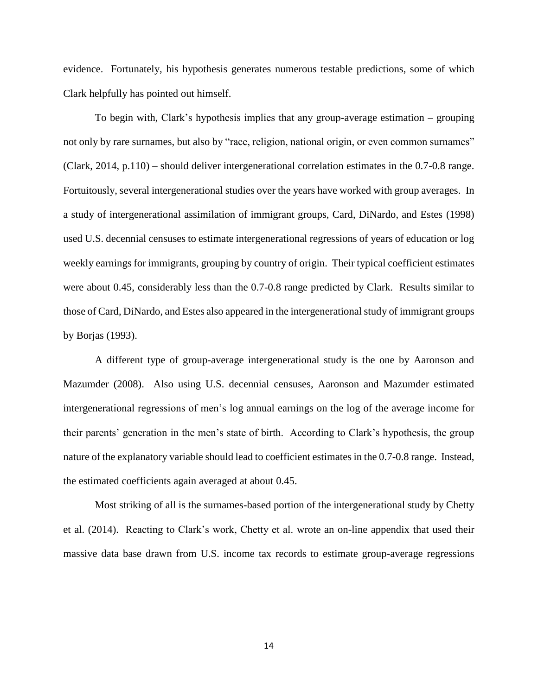evidence. Fortunately, his hypothesis generates numerous testable predictions, some of which Clark helpfully has pointed out himself.

To begin with, Clark's hypothesis implies that any group-average estimation – grouping not only by rare surnames, but also by "race, religion, national origin, or even common surnames" (Clark, 2014, p.110) – should deliver intergenerational correlation estimates in the 0.7-0.8 range. Fortuitously, several intergenerational studies over the years have worked with group averages. In a study of intergenerational assimilation of immigrant groups, Card, DiNardo, and Estes (1998) used U.S. decennial censuses to estimate intergenerational regressions of years of education or log weekly earnings for immigrants, grouping by country of origin. Their typical coefficient estimates were about 0.45, considerably less than the 0.7-0.8 range predicted by Clark. Results similar to those of Card, DiNardo, and Estes also appeared in the intergenerational study of immigrant groups by Borjas (1993).

A different type of group-average intergenerational study is the one by Aaronson and Mazumder (2008). Also using U.S. decennial censuses, Aaronson and Mazumder estimated intergenerational regressions of men's log annual earnings on the log of the average income for their parents' generation in the men's state of birth. According to Clark's hypothesis, the group nature of the explanatory variable should lead to coefficient estimates in the 0.7-0.8 range. Instead, the estimated coefficients again averaged at about 0.45.

Most striking of all is the surnames-based portion of the intergenerational study by Chetty et al. (2014). Reacting to Clark's work, Chetty et al. wrote an on-line appendix that used their massive data base drawn from U.S. income tax records to estimate group-average regressions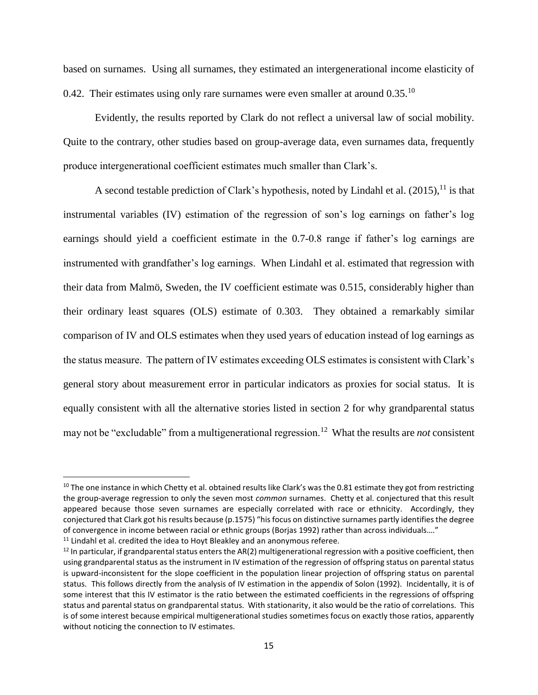based on surnames. Using all surnames, they estimated an intergenerational income elasticity of 0.42. Their estimates using only rare surnames were even smaller at around  $0.35^{10}$ 

Evidently, the results reported by Clark do not reflect a universal law of social mobility. Quite to the contrary, other studies based on group-average data, even surnames data, frequently produce intergenerational coefficient estimates much smaller than Clark's.

A second testable prediction of Clark's hypothesis, noted by Lindahl et al.  $(2015)$ , <sup>11</sup> is that instrumental variables (IV) estimation of the regression of son's log earnings on father's log earnings should yield a coefficient estimate in the 0.7-0.8 range if father's log earnings are instrumented with grandfather's log earnings. When Lindahl et al. estimated that regression with their data from Malmö, Sweden, the IV coefficient estimate was 0.515, considerably higher than their ordinary least squares (OLS) estimate of 0.303. They obtained a remarkably similar comparison of IV and OLS estimates when they used years of education instead of log earnings as the status measure. The pattern of IV estimates exceeding OLS estimates is consistent with Clark's general story about measurement error in particular indicators as proxies for social status. It is equally consistent with all the alternative stories listed in section 2 for why grandparental status may not be "excludable" from a multigenerational regression.<sup>12</sup> What the results are *not* consistent

 $\overline{\phantom{a}}$ 

<sup>&</sup>lt;sup>10</sup> The one instance in which Chetty et al. obtained results like Clark's was the 0.81 estimate they got from restricting the group-average regression to only the seven most *common* surnames. Chetty et al. conjectured that this result appeared because those seven surnames are especially correlated with race or ethnicity. Accordingly, they conjectured that Clark got his results because (p.1575) "his focus on distinctive surnames partly identifies the degree of convergence in income between racial or ethnic groups (Borjas 1992) rather than across individuals…."

 $11$  Lindahl et al. credited the idea to Hoyt Bleakley and an anonymous referee.

 $12$  In particular, if grandparental status enters the AR(2) multigenerational regression with a positive coefficient, then using grandparental status as the instrument in IV estimation of the regression of offspring status on parental status is upward-inconsistent for the slope coefficient in the population linear projection of offspring status on parental status. This follows directly from the analysis of IV estimation in the appendix of Solon (1992). Incidentally, it is of some interest that this IV estimator is the ratio between the estimated coefficients in the regressions of offspring status and parental status on grandparental status. With stationarity, it also would be the ratio of correlations. This is of some interest because empirical multigenerational studies sometimes focus on exactly those ratios, apparently without noticing the connection to IV estimates.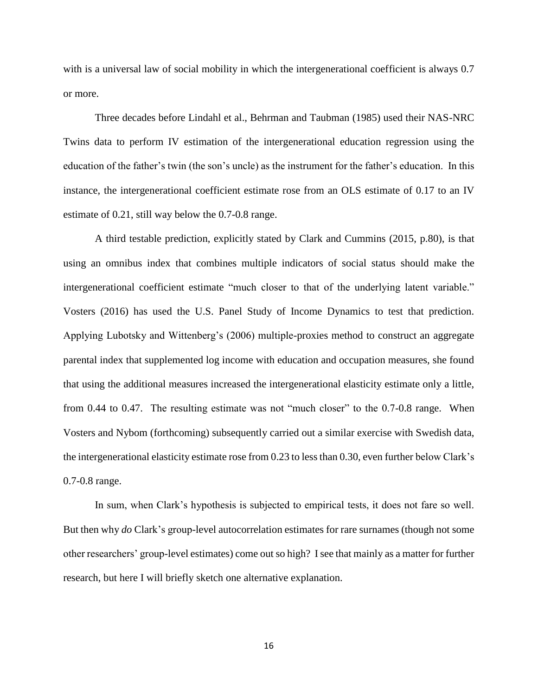with is a universal law of social mobility in which the intergenerational coefficient is always 0.7 or more.

Three decades before Lindahl et al., Behrman and Taubman (1985) used their NAS-NRC Twins data to perform IV estimation of the intergenerational education regression using the education of the father's twin (the son's uncle) as the instrument for the father's education. In this instance, the intergenerational coefficient estimate rose from an OLS estimate of 0.17 to an IV estimate of 0.21, still way below the 0.7-0.8 range.

A third testable prediction, explicitly stated by Clark and Cummins (2015, p.80), is that using an omnibus index that combines multiple indicators of social status should make the intergenerational coefficient estimate "much closer to that of the underlying latent variable." Vosters (2016) has used the U.S. Panel Study of Income Dynamics to test that prediction. Applying Lubotsky and Wittenberg's (2006) multiple-proxies method to construct an aggregate parental index that supplemented log income with education and occupation measures, she found that using the additional measures increased the intergenerational elasticity estimate only a little, from 0.44 to 0.47. The resulting estimate was not "much closer" to the 0.7-0.8 range. When Vosters and Nybom (forthcoming) subsequently carried out a similar exercise with Swedish data, the intergenerational elasticity estimate rose from 0.23 to less than 0.30, even further below Clark's 0.7-0.8 range.

In sum, when Clark's hypothesis is subjected to empirical tests, it does not fare so well. But then why *do* Clark's group-level autocorrelation estimates for rare surnames (though not some other researchers' group-level estimates) come out so high? I see that mainly as a matter for further research, but here I will briefly sketch one alternative explanation.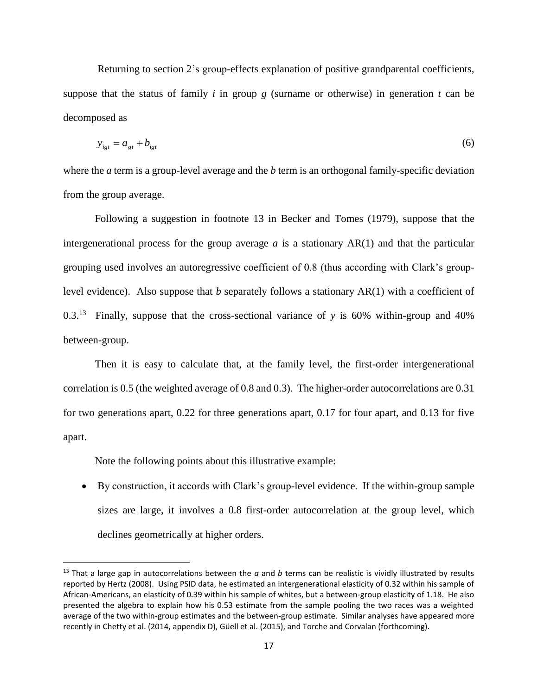Returning to section 2's group-effects explanation of positive grandparental coefficients, suppose that the status of family  $i$  in group  $g$  (surname or otherwise) in generation  $t$  can be decomposed as

$$
y_{igt} = a_{gt} + b_{igt} \tag{6}
$$

where the *a* term is a group-level average and the *b* term is an orthogonal family-specific deviation from the group average.

Following a suggestion in footnote 13 in Becker and Tomes (1979), suppose that the intergenerational process for the group average  $a$  is a stationary  $AR(1)$  and that the particular grouping used involves an autoregressive coefficient of 0.8 (thus according with Clark's grouplevel evidence). Also suppose that *b* separately follows a stationary AR(1) with a coefficient of 0.3.<sup>13</sup> Finally, suppose that the cross-sectional variance of *y* is 60% within-group and 40% between-group.

Then it is easy to calculate that, at the family level, the first-order intergenerational correlation is 0.5 (the weighted average of 0.8 and 0.3). The higher-order autocorrelations are 0.31 for two generations apart, 0.22 for three generations apart, 0.17 for four apart, and 0.13 for five apart.

Note the following points about this illustrative example:

 $\overline{a}$ 

 By construction, it accords with Clark's group-level evidence. If the within-group sample sizes are large, it involves a 0.8 first-order autocorrelation at the group level, which declines geometrically at higher orders.

<sup>13</sup> That a large gap in autocorrelations between the *a* and *b* terms can be realistic is vividly illustrated by results reported by Hertz (2008). Using PSID data, he estimated an intergenerational elasticity of 0.32 within his sample of African-Americans, an elasticity of 0.39 within his sample of whites, but a between-group elasticity of 1.18. He also presented the algebra to explain how his 0.53 estimate from the sample pooling the two races was a weighted average of the two within-group estimates and the between-group estimate. Similar analyses have appeared more recently in Chetty et al. (2014, appendix D), Güell et al. (2015), and Torche and Corvalan (forthcoming).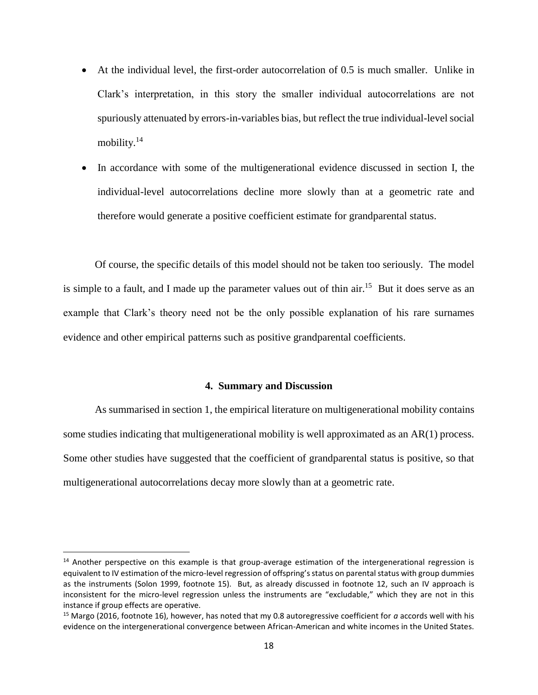- At the individual level, the first-order autocorrelation of 0.5 is much smaller. Unlike in Clark's interpretation, in this story the smaller individual autocorrelations are not spuriously attenuated by errors-in-variables bias, but reflect the true individual-level social mobility.<sup>14</sup>
- In accordance with some of the multigenerational evidence discussed in section I, the individual-level autocorrelations decline more slowly than at a geometric rate and therefore would generate a positive coefficient estimate for grandparental status.

Of course, the specific details of this model should not be taken too seriously. The model is simple to a fault, and I made up the parameter values out of thin air.<sup>15</sup> But it does serve as an example that Clark's theory need not be the only possible explanation of his rare surnames evidence and other empirical patterns such as positive grandparental coefficients.

#### **4. Summary and Discussion**

As summarised in section 1, the empirical literature on multigenerational mobility contains some studies indicating that multigenerational mobility is well approximated as an AR(1) process. Some other studies have suggested that the coefficient of grandparental status is positive, so that multigenerational autocorrelations decay more slowly than at a geometric rate.

 $\overline{\phantom{a}}$ 

 $14$  Another perspective on this example is that group-average estimation of the intergenerational regression is equivalent to IV estimation of the micro-level regression of offspring's status on parental status with group dummies as the instruments (Solon 1999, footnote 15). But, as already discussed in footnote 12, such an IV approach is inconsistent for the micro-level regression unless the instruments are "excludable," which they are not in this instance if group effects are operative.

<sup>15</sup> Margo (2016, footnote 16), however, has noted that my 0.8 autoregressive coefficient for *a* accords well with his evidence on the intergenerational convergence between African-American and white incomes in the United States.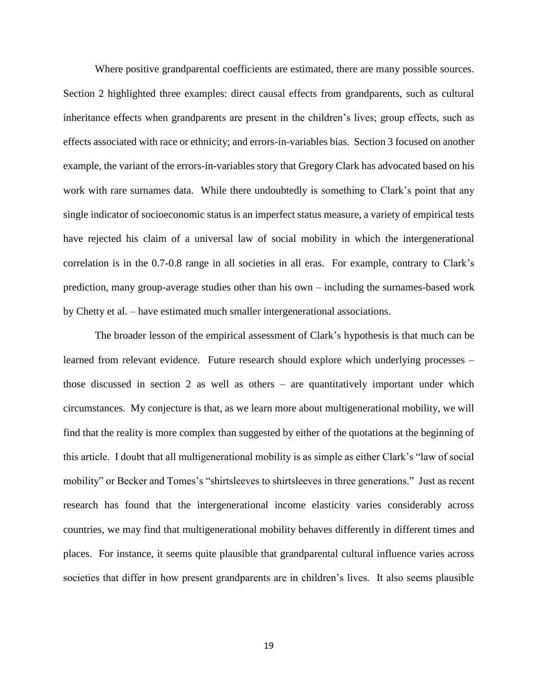Where positive grandparental coefficients are estimated, there are many possible sources. Section 2 highlighted three examples: direct causal effects from grandparents, such as cultural inheritance effects when grandparents are present in the children's lives; group effects, such as effects associated with race or ethnicity; and errors-in-variables bias. Section 3 focused on another example, the variant of the errors-in-variables story that Gregory Clark has advocated based on his work with rare surnames data. While there undoubtedly is something to Clark's point that any single indicator of socioeconomic status is an imperfect status measure, a variety of empirical tests have rejected his claim of a universal law of social mobility in which the intergenerational correlation is in the 0.7-0.8 range in all societies in all eras. For example, contrary to Clark's prediction, many group-average studies other than his own – including the surnames-based work by Chetty et al. – have estimated much smaller intergenerational associations.

The broader lesson of the empirical assessment of Clark's hypothesis is that much can be learned from relevant evidence. Future research should explore which underlying processes – those discussed in section 2 as well as others – are quantitatively important under which circumstances. My conjecture is that, as we learn more about multigenerational mobility, we will find that the reality is more complex than suggested by either of the quotations at the beginning of this article. I doubt that all multigenerational mobility is as simple as either Clark's "law of social mobility" or Becker and Tomes's "shirtsleeves to shirtsleeves in three generations." Just as recent research has found that the intergenerational income elasticity varies considerably across countries, we may find that multigenerational mobility behaves differently in different times and places. For instance, it seems quite plausible that grandparental cultural influence varies across societies that differ in how present grandparents are in children's lives. It also seems plausible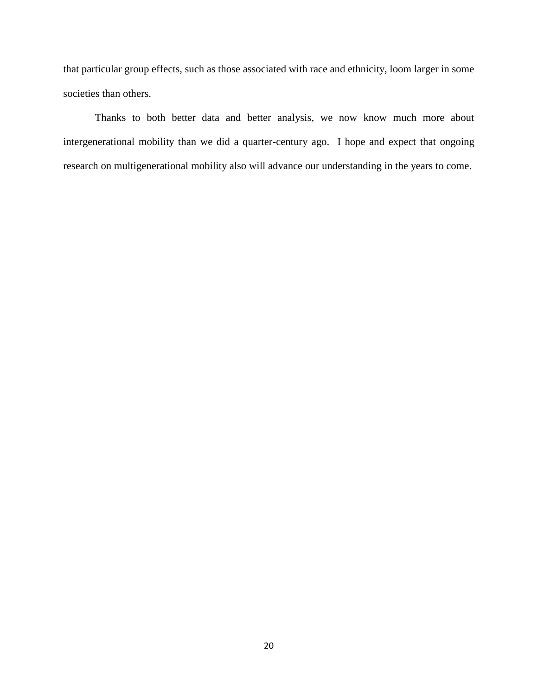that particular group effects, such as those associated with race and ethnicity, loom larger in some societies than others.

Thanks to both better data and better analysis, we now know much more about intergenerational mobility than we did a quarter-century ago. I hope and expect that ongoing research on multigenerational mobility also will advance our understanding in the years to come.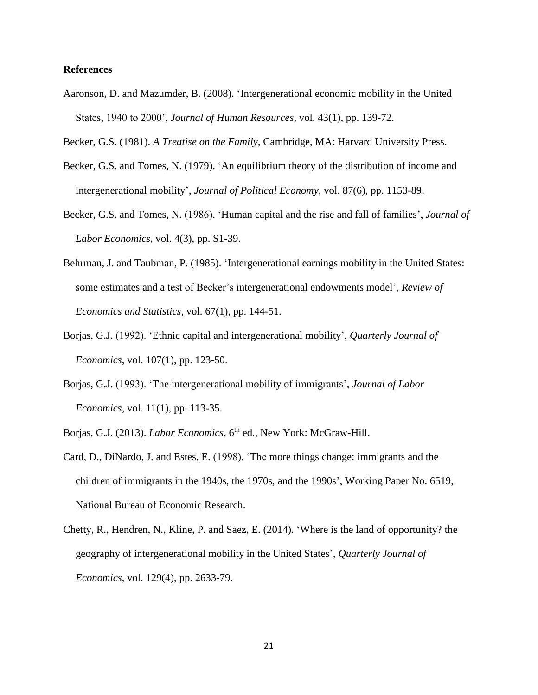#### **References**

Aaronson, D. and Mazumder, B. (2008). 'Intergenerational economic mobility in the United States, 1940 to 2000', *Journal of Human Resources*, vol. 43(1), pp. 139-72.

Becker, G.S. (1981). *A Treatise on the Family*, Cambridge, MA: Harvard University Press.

- Becker, G.S. and Tomes, N. (1979). 'An equilibrium theory of the distribution of income and intergenerational mobility', *Journal of Political Economy*, vol. 87(6), pp. 1153-89.
- Becker, G.S. and Tomes, N. (1986). 'Human capital and the rise and fall of families', *Journal of Labor Economics*, vol. 4(3), pp. S1-39.
- Behrman, J. and Taubman, P. (1985). 'Intergenerational earnings mobility in the United States: some estimates and a test of Becker's intergenerational endowments model', *Review of Economics and Statistics*, vol. 67(1), pp. 144-51.
- Borjas, G.J. (1992). 'Ethnic capital and intergenerational mobility', *Quarterly Journal of Economics*, vol. 107(1), pp. 123-50.
- Borjas, G.J. (1993). 'The intergenerational mobility of immigrants', *Journal of Labor Economics*, vol. 11(1), pp. 113-35.

Borjas, G.J. (2013). *Labor Economics*, 6<sup>th</sup> ed., New York: McGraw-Hill.

- Card, D., DiNardo, J. and Estes, E. (1998). 'The more things change: immigrants and the children of immigrants in the 1940s, the 1970s, and the 1990s', Working Paper No. 6519, National Bureau of Economic Research.
- Chetty, R., Hendren, N., Kline, P. and Saez, E. (2014). 'Where is the land of opportunity? the geography of intergenerational mobility in the United States', *Quarterly Journal of Economics*, vol. 129(4), pp. 2633-79.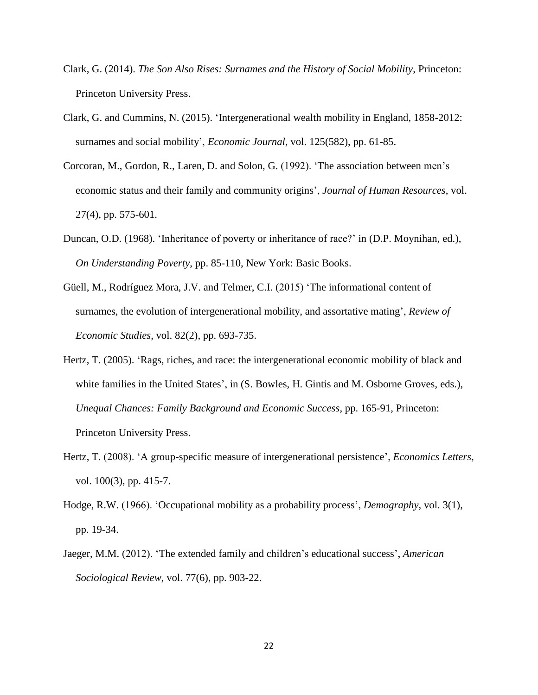- Clark, G. (2014). *The Son Also Rises: Surnames and the History of Social Mobility*, Princeton: Princeton University Press.
- Clark, G. and Cummins, N. (2015). 'Intergenerational wealth mobility in England, 1858-2012: surnames and social mobility', *Economic Journal*, vol. 125(582), pp. 61-85.
- Corcoran, M., Gordon, R., Laren, D. and Solon, G. (1992). 'The association between men's economic status and their family and community origins', *Journal of Human Resources*, vol. 27(4), pp. 575-601.
- Duncan, O.D. (1968). 'Inheritance of poverty or inheritance of race?' in (D.P. Moynihan, ed.), *On Understanding Poverty*, pp. 85-110, New York: Basic Books.
- Güell, M., Rodríguez Mora, J.V. and Telmer, C.I. (2015) 'The informational content of surnames, the evolution of intergenerational mobility, and assortative mating', *Review of Economic Studies*, vol. 82(2), pp. 693-735.
- Hertz, T. (2005). 'Rags, riches, and race: the intergenerational economic mobility of black and white families in the United States', in (S. Bowles, H. Gintis and M. Osborne Groves, eds.), *Unequal Chances: Family Background and Economic Success*, pp. 165-91, Princeton: Princeton University Press.
- Hertz, T. (2008). 'A group-specific measure of intergenerational persistence', *Economics Letters*, vol. 100(3), pp. 415-7.
- Hodge, R.W. (1966). 'Occupational mobility as a probability process', *Demography*, vol. 3(1), pp. 19-34.
- Jaeger, M.M. (2012). 'The extended family and children's educational success', *American Sociological Review*, vol. 77(6), pp. 903-22.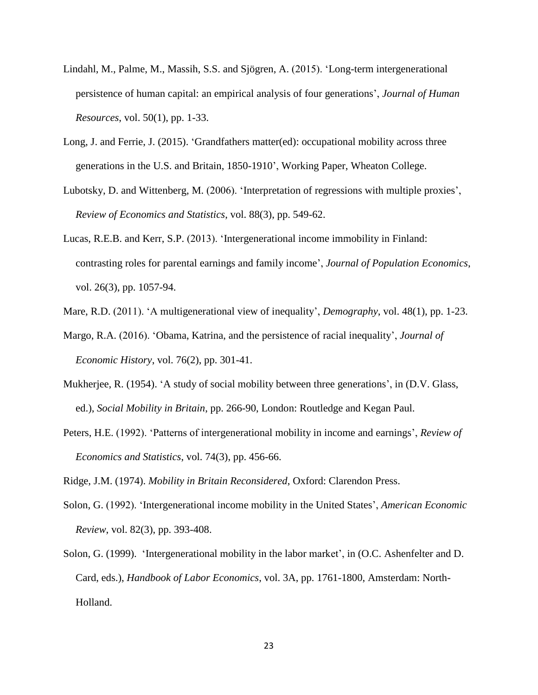- Lindahl, M., Palme, M., Massih, S.S. and Sjögren, A. (2015). 'Long-term intergenerational persistence of human capital: an empirical analysis of four generations', *Journal of Human Resources*, vol. 50(1), pp. 1-33.
- Long, J. and Ferrie, J. (2015). 'Grandfathers matter(ed): occupational mobility across three generations in the U.S. and Britain, 1850-1910', Working Paper, Wheaton College.
- Lubotsky, D. and Wittenberg, M. (2006). 'Interpretation of regressions with multiple proxies', *Review of Economics and Statistics*, vol. 88(3), pp. 549-62.
- Lucas, R.E.B. and Kerr, S.P. (2013). 'Intergenerational income immobility in Finland: contrasting roles for parental earnings and family income', *Journal of Population Economics*, vol. 26(3), pp. 1057-94.
- Mare, R.D. (2011). 'A multigenerational view of inequality', *Demography*, vol. 48(1), pp. 1-23.
- Margo, R.A. (2016). 'Obama, Katrina, and the persistence of racial inequality', *Journal of Economic History*, vol. 76(2), pp. 301-41.
- Mukherjee, R. (1954). 'A study of social mobility between three generations', in (D.V. Glass, ed.), *Social Mobility in Britain*, pp. 266-90, London: Routledge and Kegan Paul.
- Peters, H.E. (1992). 'Patterns of intergenerational mobility in income and earnings', *Review of Economics and Statistics*, vol. 74(3), pp. 456-66.

Ridge, J.M. (1974). *Mobility in Britain Reconsidered*, Oxford: Clarendon Press.

- Solon, G. (1992). 'Intergenerational income mobility in the United States', *American Economic Review*, vol. 82(3), pp. 393-408.
- Solon, G. (1999). 'Intergenerational mobility in the labor market', in (O.C. Ashenfelter and D. Card, eds.), *Handbook of Labor Economics*, vol. 3A, pp. 1761-1800, Amsterdam: North-Holland.